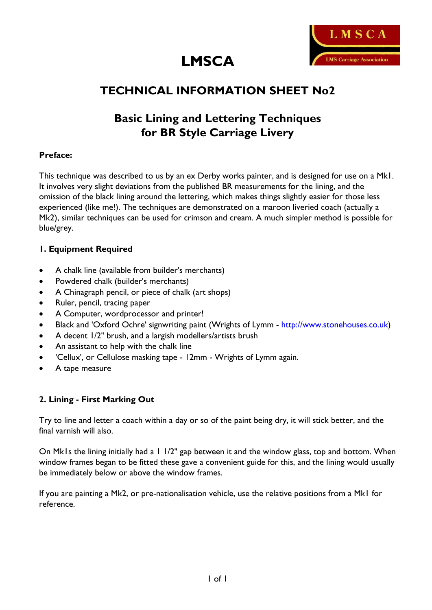



# **TECHNICAL INFORMATION SHEET No2**

# **Basic Lining and Lettering Techniques for BR Style Carriage Livery**

## **Preface:**

This technique was described to us by an ex Derby works painter, and is designed for use on a Mk1. It involves very slight deviations from the published BR measurements for the lining, and the omission of the black lining around the lettering, which makes things slightly easier for those less experienced (like me!). The techniques are demonstrated on a maroon liveried coach (actually a Mk2), similar techniques can be used for crimson and cream. A much simpler method is possible for blue/grey.

## **1. Equipment Required**

- A chalk line (available from builder's merchants)
- · Powdered chalk (builder's merchants)
- A Chinagraph pencil, or piece of chalk (art shops)
- Ruler, pencil, tracing paper
- · A Computer, wordprocessor and printer!
- Black and 'Oxford Ochre' signwriting paint (Wrights of Lymm http://www.stonehouses.co.uk)
- A decent  $1/2$ " brush, and a largish modellers/artists brush
- An assistant to help with the chalk line
- · 'Cellux', or Cellulose masking tape 12mm Wrights of Lymm again.
- A tape measure

## **2. Lining - First Marking Out**

Try to line and letter a coach within a day or so of the paint being dry, it will stick better, and the final varnish will also.

On Mk1s the lining initially had a 1 1/2" gap between it and the window glass, top and bottom. When window frames began to be fitted these gave a convenient guide for this, and the lining would usually be immediately below or above the window frames.

If you are painting a Mk2, or pre-nationalisation vehicle, use the relative positions from a Mk1 for reference.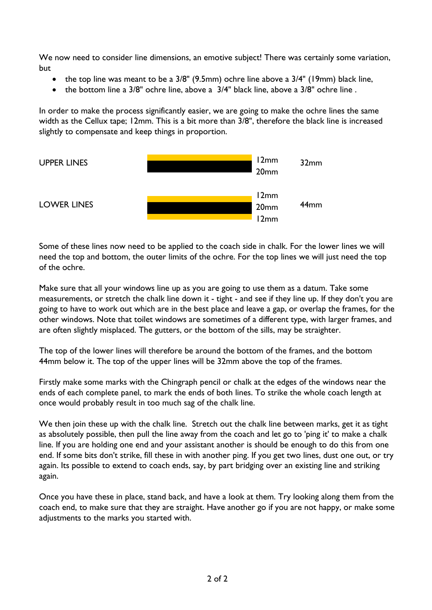We now need to consider line dimensions, an emotive subject! There was certainly some variation, but

- the top line was meant to be a 3/8" (9.5mm) ochre line above a 3/4" (19mm) black line,
- the bottom line a 3/8" ochre line, above a 3/4" black line, above a 3/8" ochre line.

In order to make the process significantly easier, we are going to make the ochre lines the same width as the Cellux tape; 12mm. This is a bit more than 3/8", therefore the black line is increased slightly to compensate and keep things in proportion.



Some of these lines now need to be applied to the coach side in chalk. For the lower lines we will need the top and bottom, the outer limits of the ochre. For the top lines we will just need the top of the ochre.

Make sure that all your windows line up as you are going to use them as a datum. Take some measurements, or stretch the chalk line down it - tight - and see if they line up. If they don't you are going to have to work out which are in the best place and leave a gap, or overlap the frames, for the other windows. Note that toilet windows are sometimes of a different type, with larger frames, and are often slightly misplaced. The gutters, or the bottom of the sills, may be straighter.

The top of the lower lines will therefore be around the bottom of the frames, and the bottom 44mm below it. The top of the upper lines will be 32mm above the top of the frames.

Firstly make some marks with the Chingraph pencil or chalk at the edges of the windows near the ends of each complete panel, to mark the ends of both lines. To strike the whole coach length at once would probably result in too much sag of the chalk line.

We then join these up with the chalk line. Stretch out the chalk line between marks, get it as tight as absolutely possible, then pull the line away from the coach and let go to 'ping it' to make a chalk line. If you are holding one end and your assistant another is should be enough to do this from one end. If some bits don't strike, fill these in with another ping. If you get two lines, dust one out, or try again. Its possible to extend to coach ends, say, by part bridging over an existing line and striking again.

Once you have these in place, stand back, and have a look at them. Try looking along them from the coach end, to make sure that they are straight. Have another go if you are not happy, or make some adjustments to the marks you started with.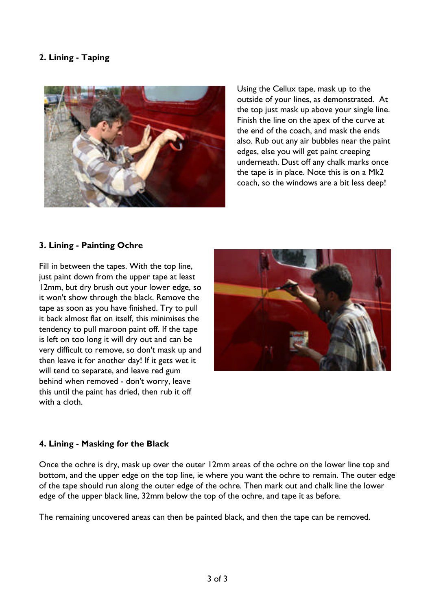## **2. Lining - Taping**



Using the Cellux tape, mask up to the outside of your lines, as demonstrated. At the top just mask up above your single line. Finish the line on the apex of the curve at the end of the coach, and mask the ends also. Rub out any air bubbles near the paint edges, else you will get paint creeping underneath. Dust off any chalk marks once the tape is in place. Note this is on a Mk2 coach, so the windows are a bit less deep!

## **3. Lining - Painting Ochre**

Fill in between the tapes. With the top line, just paint down from the upper tape at least 12mm, but dry brush out your lower edge, so it won't show through the black. Remove the tape as soon as you have finished. Try to pull it back almost flat on itself, this minimises the tendency to pull maroon paint off. If the tape is left on too long it will dry out and can be very difficult to remove, so don't mask up and then leave it for another day! If it gets wet it will tend to separate, and leave red gum behind when removed - don't worry, leave this until the paint has dried, then rub it off with a cloth.



#### **4. Lining - Masking for the Black**

Once the ochre is dry, mask up over the outer 12mm areas of the ochre on the lower line top and bottom, and the upper edge on the top line, ie where you want the ochre to remain. The outer edge of the tape should run along the outer edge of the ochre. Then mark out and chalk line the lower edge of the upper black line, 32mm below the top of the ochre, and tape it as before.

The remaining uncovered areas can then be painted black, and then the tape can be removed.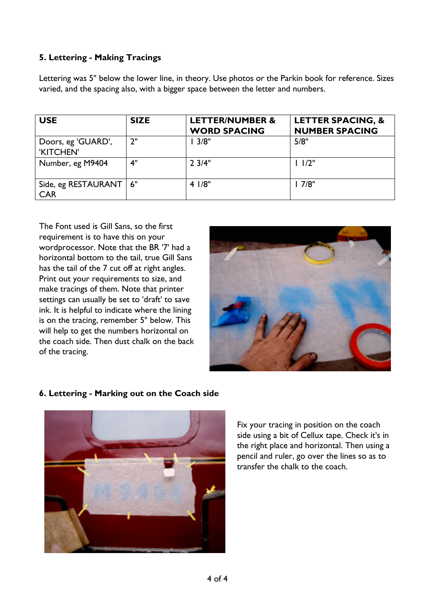# **5. Lettering - Making Tracings**

Lettering was 5" below the lower line, in theory. Use photos or the Parkin book for reference. Sizes varied, and the spacing also, with a bigger space between the letter and numbers.

| <b>USE</b>                             | <b>SIZE</b> | <b>LETTER/NUMBER &amp;</b><br><b>WORD SPACING</b> | <b>LETTER SPACING, &amp;</b><br><b>NUMBER SPACING</b> |
|----------------------------------------|-------------|---------------------------------------------------|-------------------------------------------------------|
| Doors, eg 'GUARD',<br>'KITCHEN'        | 2"          | 3/8"                                              | 5/8"                                                  |
| Number, eg M9404                       | 4"          | $2 \frac{3}{4}$ "                                 | 11/2"                                                 |
| Side, eg RESTAURANT   6"<br><b>CAR</b> |             | 41/8"                                             | 7/8"                                                  |

The Font used is Gill Sans, so the first requirement is to have this on your wordprocessor. Note that the BR '7' had a horizontal bottom to the tail, true Gill Sans has the tail of the 7 cut off at right angles. Print out your requirements to size, and make tracings of them. Note that printer settings can usually be set to 'draft' to save ink. It is helpful to indicate where the lining is on the tracing, remember 5" below. This will help to get the numbers horizontal on the coach side. Then dust chalk on the back of the tracing.



## **6. Lettering - Marking out on the Coach side**



Fix your tracing in position on the coach side using a bit of Cellux tape. Check it's in the right place and horizontal. Then using a pencil and ruler, go over the lines so as to transfer the chalk to the coach.